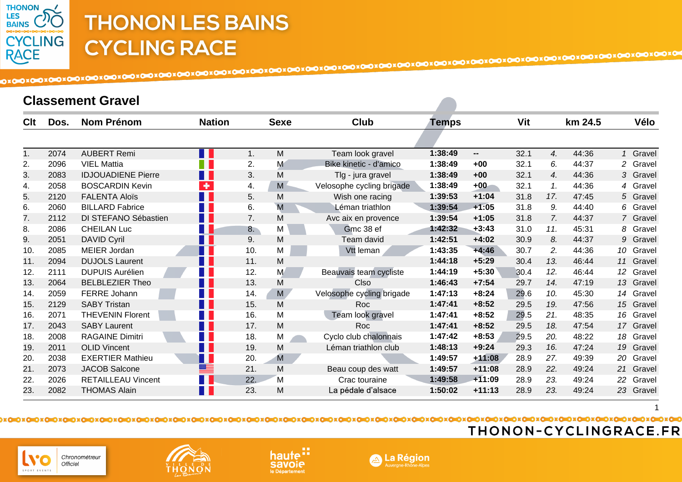

#### **Classement Gravel**

| Clt | Dos. | <b>Nom Prénom</b>         | <b>Nation</b>        | <b>Sexe</b> | <b>Club</b>               | Temps   |                          | Vit  | km 24.5      | Vélo                      |
|-----|------|---------------------------|----------------------|-------------|---------------------------|---------|--------------------------|------|--------------|---------------------------|
|     |      |                           |                      |             |                           |         |                          |      |              |                           |
|     |      |                           |                      |             |                           |         |                          |      |              |                           |
| 1.  | 2074 | <b>AUBERT Remi</b>        | n I                  | M<br>1.     | Team look gravel          | 1:38:49 | $\overline{\phantom{a}}$ | 32.1 | 4.<br>44:36  | 1 Gravel                  |
| 2.  | 2096 | <b>VIEL Mattia</b>        | W                    | 2.<br>M     | Bike kinetic - d'amico    | 1:38:49 | $+00$                    | 32.1 | 6.<br>44:37  | 2 Gravel                  |
| 3.  | 2083 | <b>IDJOUADIENE Pierre</b> | <b>Film</b>          | M<br>3.     | Tlg - jura gravel         | 1:38:49 | $+00$                    | 32.1 | 4.<br>44:36  | 3 Gravel                  |
| 4.  | 2058 | <b>BOSCARDIN Kevin</b>    | $\ddot{\phantom{1}}$ | M<br>4.     | Velosophe cycling brigade | 1:38:49 | $+00$                    | 32.1 | 44:36<br>1.  | 4 Gravel                  |
| 5.  | 2120 | <b>FALENTA Aloïs</b>      | <b>TELE</b>          | M<br>5.     | Wish one racing           | 1:39:53 | $+1:04$                  | 31.8 | 17.<br>47:45 | 5 Gravel                  |
| 6.  | 2060 | <b>BILLARD Fabrice</b>    | <b>TI</b>            | M<br>6.     | Léman triathlon           | 1:39:54 | $+1:05$                  | 31.8 | 44:40<br>9.  | 6 Gravel                  |
| 7.  | 2112 | DI STEFANO Sébastien      | <b>The Co</b>        | M<br>7.     | Avc aix en provence       | 1:39:54 | $+1:05$                  | 31.8 | 7.<br>44:37  | 7 Gravel                  |
| 8.  | 2086 | <b>CHEILAN Luc</b>        | F I                  | M<br>8.     | Gmc 38 ef                 | 1:42:32 | $+3:43$                  | 31.0 | 45:31<br>11. | 8 Gravel                  |
| 9.  | 2051 | <b>DAVID Cyril</b>        | <b>TIP</b>           | 9.<br>M     | Team david                | 1:42:51 | $+4:02$                  | 30.9 | 8.<br>44:37  | 9 Gravel                  |
| 10. | 2085 | <b>MEIER Jordan</b>       | П                    | M<br>10.    | Vtt leman                 | 1:43:35 | $+4:46$                  | 30.7 | 2.<br>44:36  | 10 Gravel                 |
| 11. | 2094 | <b>DUJOLS Laurent</b>     | H                    | M<br>11.    |                           | 1:44:18 | $+5:29$                  | 30.4 | 13.<br>46:44 | 11 Gravel                 |
| 12. | 2111 | <b>DUPUIS Aurélien</b>    |                      | M<br>12.    | Beauvais team cycliste    | 1:44:19 | $+5:30$                  | 30.4 | 12.<br>46:44 | 12 <sup>°</sup><br>Gravel |
| 13. | 2064 | <b>BELBLEZIER Theo</b>    | <b>TELEVISION</b>    | M<br>13.    | Clso                      | 1:46:43 | $+7:54$                  | 29.7 | 14.<br>47:19 | 13 Gravel                 |
| 14. | 2059 | FERRE Johann              | a ka                 | 14.<br>M    | Velosophe cycling brigade | 1:47:13 | $+8:24$                  | 29.6 | 10.<br>45:30 | 14<br>Gravel              |
| 15. | 2129 | <b>SABY Tristan</b>       | M.                   | M<br>15.    | Roc                       | 1:47:41 | $+8:52$                  | 29.5 | 19.<br>47:56 | 15 Gravel                 |
| 16. | 2071 | <b>THEVENIN Florent</b>   | Ш                    | M<br>16.    | Team look gravel          | 1:47:41 | $+8:52$                  | 29.5 | 21.<br>48:35 | 16 Gravel                 |
| 17. | 2043 | <b>SABY Laurent</b>       | <b>TELE</b>          | M<br>17.    | Roc                       | 1:47:41 | $+8:52$                  | 29.5 | 18.<br>47:54 | 17 Gravel                 |
| 18. | 2008 | <b>RAGAINE Dimitri</b>    | H.                   | M<br>18.    | Cyclo club chalonnais     | 1:47:42 | $+8:53$                  | 29.5 | 20.<br>48:22 | 18<br>Gravel              |
| 19. | 2011 | <b>OLID Vincent</b>       | H                    | M<br>19.    | Léman triathlon club      | 1:48:13 | $+9:24$                  | 29.3 | 47:24<br>16. | 19 Gravel                 |
| 20. | 2038 | <b>EXERTIER Mathieu</b>   | $\blacksquare$       | M<br>20.    |                           | 1:49:57 | $+11:08$                 | 28.9 | 27.<br>49:39 | 20<br>Gravel              |
| 21. | 2073 | <b>JACOB Salcone</b>      | ≝                    | M<br>21.    | Beau coup des watt        | 1:49:57 | $+11:08$                 | 28.9 | 22.<br>49:24 | 21<br>Gravel              |
| 22. | 2026 | <b>RETAILLEAU Vincent</b> | $\blacksquare$       | 22.<br>M    | Crac touraine             | 1:49:58 | $+11:09$                 | 28.9 | 23.<br>49:24 | 22<br>Gravel              |
| 23. | 2082 | <b>THOMAS Alain</b>       | n I                  | 23.<br>M    | La pédale d'alsace        | 1:50:02 | $+11:13$                 | 28.9 | 23.<br>49:24 | 23 Gravel                 |







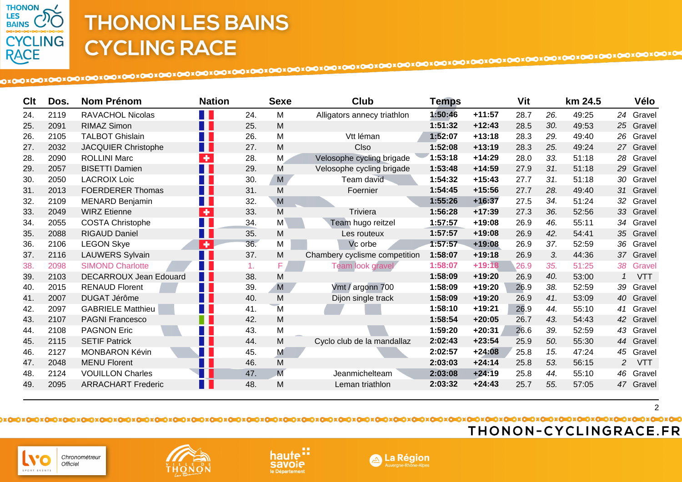

| Clt | Dos. | <b>Nom Prénom</b>             | <b>Nation</b>               |     | <b>Sexe</b>    | Club                          | Temps   |          | Vit  |     | km 24.5 | Vélo                         |
|-----|------|-------------------------------|-----------------------------|-----|----------------|-------------------------------|---------|----------|------|-----|---------|------------------------------|
| 24. | 2119 | <b>RAVACHOL Nicolas</b>       |                             | 24. | M              | Alligators annecy triathlon   | 1:50:46 | $+11:57$ | 28.7 | 26. | 49:25   | 24 Gravel                    |
| 25. | 2091 | <b>RIMAZ Simon</b>            | H.                          | 25. | M              |                               | 1:51:32 | $+12:43$ | 28.5 | 30. | 49:53   | 25 Gravel                    |
| 26. | 2105 | <b>TALBOT Ghislain</b>        | W                           | 26. | M              | Vtt léman                     | 1:52:07 | $+13:18$ | 28.3 | 29. | 49:40   | 26 Gravel                    |
| 27. | 2032 | JACQUIER Christophe           | H                           | 27. | M              | Clso                          | 1:52:08 | $+13:19$ | 28.3 | 25. | 49:24   | 27 Gravel                    |
| 28. | 2090 | <b>ROLLINI Marc</b>           | $\ddot{\phantom{1}}$        | 28. | M              | Velosophe cycling brigade     | 1:53:18 | $+14:29$ | 28.0 | 33. | 51:18   | 28<br>Gravel                 |
| 29. | 2057 | <b>BISETTI Damien</b>         | n k                         | 29. | M              | Velosophe cycling brigade     | 1:53:48 | $+14:59$ | 27.9 | 31. | 51:18   | 29 Gravel                    |
| 30. | 2050 | <b>LACROIX Loic</b>           |                             | 30. | M              | Team david                    | 1:54:32 | $+15:43$ | 27.7 | 31. | 51:18   | 30<br>Gravel                 |
| 31. | 2013 | <b>FOERDERER Thomas</b>       | ПГ                          | 31. | M              | Foernier                      | 1:54:45 | $+15:56$ | 27.7 | 28. | 49:40   | 31<br>Gravel                 |
| 32. | 2109 | <b>MENARD Benjamin</b>        | H                           | 32. | M              |                               | 1:55:26 | $+16:37$ | 27.5 | 34. | 51:24   | 32<br>Gravel                 |
| 33. | 2049 | <b>WIRZ Etienne</b>           | $\pm$                       | 33. | M              | Triviera                      | 1:56:28 | $+17:39$ | 27.3 | 36. | 52:56   | 33<br>Gravel                 |
| 34. | 2055 | <b>COSTA Christophe</b>       | ٦                           | 34. | M              | Team hugo reitzel             | 1:57:57 | $+19:08$ | 26.9 | 46. | 55:11   | 34<br>Gravel                 |
| 35. | 2088 | <b>RIGAUD Daniel</b>          | n I                         | 35. | M              | Les routeux                   | 1:57:57 | $+19:08$ | 26.9 | 42. | 54:41   | 35 Gravel                    |
| 36. | 2106 | <b>LEGON Skye</b>             | $\overline{\phantom{a}}$    | 36. | M              | Vc orbe                       | 1:57:57 | $+19:08$ | 26.9 | 37. | 52:59   | 36 Gravel                    |
| 37. | 2116 | <b>LAUWERS Sylvain</b>        | H.                          | 37. | M              | Chambery cyclisme competition | 1:58:07 | $+19:18$ | 26.9 | 3.  | 44:36   | 37<br>Gravel                 |
| 38. | 2098 | <b>SIMOND Charlotte</b>       | T I                         | 1.  | F              | Team look gravel              | 1:58:07 | $+19:18$ | 26.9 | 35. | 51:25   | 38 Gravel                    |
| 39. | 2103 | <b>DECARROUX Jean Edouard</b> | H II                        | 38. | M              |                               | 1:58:09 | $+19:20$ | 26.9 | 40. | 53:00   | <b>VTT</b><br>1              |
| 40. | 2015 | <b>RENAUD Florent</b>         | a pr                        | 39. | M              | Vmt / argonn 700              | 1:58:09 | $+19:20$ | 26.9 | 38. | 52:59   | Gravel<br>39                 |
| 41. | 2007 | DUGAT Jérôme                  | n I                         | 40. | M              | Dijon single track            | 1:58:09 | $+19:20$ | 26.9 | 41. | 53:09   | 40 Gravel                    |
| 42. | 2097 | <b>GABRIELE Matthieu</b>      | H.                          | 41. | M              |                               | 1:58:10 | $+19:21$ | 26.9 | 44. | 55:10   | 41<br>Gravel                 |
| 43. | 2107 | <b>PAGNI Francesco</b>        | F.                          | 42. | M              |                               | 1:58:54 | $+20:05$ | 26.7 | 43. | 54:43   | 42<br>Gravel                 |
| 44. | 2108 | <b>PAGNON Eric</b>            |                             | 43. | M              |                               | 1:59:20 | $+20:31$ | 26.6 | 39. | 52:59   | 43<br>Gravel                 |
| 45. | 2115 | <b>SETIF Patrick</b>          | n p                         | 44. | M              | Cyclo club de la mandallaz    | 2:02:43 | $+23:54$ | 25.9 | 50. | 55:30   | 44 Gravel                    |
| 46. | 2127 | <b>MONBARON Kévin</b>         |                             | 45. | M              |                               | 2:02:57 | $+24:08$ | 25.8 | 15. | 47:24   | 45<br>Gravel                 |
| 47. | 2048 | <b>MENU Florent</b>           | Ш                           | 46. | M              |                               | 2:03:03 | $+24:14$ | 25.8 | 53. | 56:15   | <b>VTT</b><br>$\overline{2}$ |
| 48. | 2124 | <b>VOUILLON Charles</b>       |                             | 47. | $\overline{M}$ | Jeanmichelteam                | 2:03:08 | $+24:19$ | 25.8 | 44. | 55:10   | 46 Gravel                    |
| 49. | 2095 | <b>ARRACHART Frederic</b>     | $\mathcal{L}_{\mathcal{A}}$ | 48. | M              | Leman triathlon               | 2:03:32 | $+24:43$ | 25.7 | 55. | 57:05   | 47 Gravel                    |

### THONON-CYCLINGRACE.FR

 $\overline{2}$ 







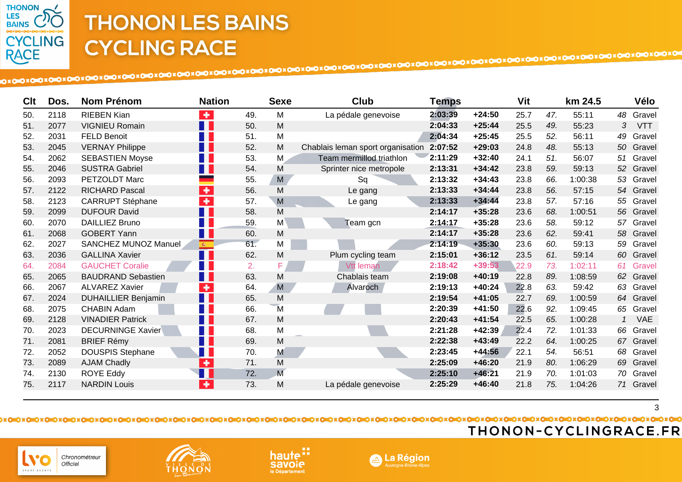

| Clt | Dos. | <b>Nom Prénom</b>           | <b>Nation</b>        |     | <b>Sexe</b>    | <b>Club</b>                       | <b>Temps</b> |          | Vit  |     | km 24.5 |    | Vélo       |
|-----|------|-----------------------------|----------------------|-----|----------------|-----------------------------------|--------------|----------|------|-----|---------|----|------------|
| 50. | 2118 | <b>RIEBEN Kian</b>          | $\ddot{\phantom{1}}$ | 49. | M              | La pédale genevoise               | 2:03:39      | $+24:50$ | 25.7 | 47. | 55:11   |    | 48 Gravel  |
| 51. | 2077 | <b>VIGNIEU Romain</b>       | N N                  | 50. | M              |                                   | 2:04:33      | $+25:44$ | 25.5 | 49. | 55:23   | 3  | <b>VTT</b> |
| 52. | 2031 | <b>FELD Benoit</b>          | M.                   | 51. | M              |                                   | 2:04:34      | $+25:45$ | 25.5 | 52. | 56:11   | 49 | Gravel     |
| 53. | 2045 | <b>VERNAY Philippe</b>      | H                    | 52. | M              | Chablais leman sport organisation | 2:07:52      | $+29:03$ | 24.8 | 48. | 55:13   |    | 50 Gravel  |
| 54. | 2062 | <b>SEBASTIEN Moyse</b>      | <b>TELE</b>          | 53. | M              | Team mermillod triathlon          | 2:11:29      | $+32:40$ | 24.1 | 51. | 56:07   | 51 | Gravel     |
| 55. | 2046 | <b>SUSTRA Gabriel</b>       | H I                  | 54. | M              | Sprinter nice metropole           | 2:13:31      | $+34:42$ | 23.8 | 59. | 59:13   | 52 | Gravel     |
| 56. | 2093 | PETZOLDT Marc               |                      | 55. | M              | Sq                                | 2:13:32      | $+34:43$ | 23.8 | 66. | 1:00:38 | 53 | Gravel     |
| 57. | 2122 | <b>RICHARD Pascal</b>       | $\bullet$            | 56. | M              | Le gang                           | 2:13:33      | $+34:44$ | 23.8 | 56. | 57:15   |    | 54 Gravel  |
| 58. | 2123 | <b>CARRUPT Stéphane</b>     | $\bullet$            | 57. | M              | Le gang                           | 2:13:33      | $+34:44$ | 23.8 | 57. | 57:16   | 55 | Gravel     |
| 59. | 2099 | <b>DUFOUR David</b>         | n n                  | 58. | M              |                                   | 2:14:17      | $+35:28$ | 23.6 | 68. | 1:00:51 |    | 56 Gravel  |
| 60. | 2070 | <b>DAILLIEZ Bruno</b>       | H.                   | 59. | M              | Team gcn                          | 2:14:17      | $+35:28$ | 23.6 | 58. | 59:12   | 57 | Gravel     |
| 61. | 2068 | <b>GOBERT Yann</b>          | $\blacksquare$       | 60. | M              |                                   | 2:14:17      | $+35:28$ | 23.6 | 62. | 59:41   | 58 | Gravel     |
| 62. | 2027 | <b>SANCHEZ MUNOZ Manuel</b> | $\frac{1}{2}$        | 61. | М              |                                   | 2:14:19      | $+35:30$ | 23.6 | 60. | 59:13   | 59 | Gravel     |
| 63. | 2036 | <b>GALLINA Xavier</b>       | $\blacksquare$       | 62. | M              | Plum cycling team                 | 2:15:01      | $+36:12$ | 23.5 | 61. | 59:14   |    | 60 Gravel  |
| 64. | 2084 | <b>GAUCHET Coralie</b>      | H.                   | 2.  | F              | Vtt leman                         | 2:18:42      | $+39:53$ | 22.9 | 73. | 1:02:11 | 61 | Gravel     |
| 65. | 2065 | <b>BAUDRAND Sebastien</b>   | $\blacksquare$       | 63. | M              | Chablais team                     | 2:19:08      | $+40:19$ | 22.8 | 89. | 1:08:59 | 62 | Gravel     |
| 66. | 2067 | <b>ALVAREZ Xavier</b>       | $\ddot{\phantom{1}}$ | 64. | M              | Alvaroch                          | 2:19:13      | $+40:24$ | 22.8 | 63. | 59:42   | 63 | Gravel     |
| 67. | 2024 | <b>DUHAILLIER Benjamin</b>  | H I                  | 65. | M              |                                   | 2:19:54      | $+41:05$ | 22.7 | 69. | 1:00:59 |    | 64 Gravel  |
| 68. | 2075 | <b>CHABIN Adam</b>          | n n                  | 66. | M              |                                   | 2:20:39      | $+41:50$ | 22.6 | 92. | 1:09:45 |    | 65 Gravel  |
| 69. | 2128 | <b>VINADIER Patrick</b>     | n n                  | 67. | M              |                                   | 2:20:43      | $+41:54$ | 22.5 | 65. | 1:00:28 | 1  | <b>VAE</b> |
| 70. | 2023 | <b>DECURNINGE Xavier</b>    | H                    | 68. | M              |                                   | 2:21:28      | $+42:39$ | 22.4 | 72. | 1:01:33 |    | 66 Gravel  |
| 71. | 2081 | <b>BRIEF Rémy</b>           | n p                  | 69. | M              |                                   | 2:22:38      | $+43:49$ | 22.2 | 64. | 1:00:25 |    | 67 Gravel  |
| 72. | 2052 | <b>DOUSPIS Stephane</b>     | M.                   | 70. | M              |                                   | 2:23:45      | $+44:56$ | 22.1 | 54. | 56:51   | 68 | Gravel     |
| 73. | 2089 | <b>AJAM Chadly</b>          | $\ddot{\phantom{1}}$ | 71. | M              |                                   | 2:25:09      | $+46:20$ | 21.9 | 80. | 1:06:29 | 69 | Gravel     |
| 74. | 2130 | <b>ROYE Eddy</b>            | $\blacksquare$       | 72. | $\overline{M}$ |                                   | 2:25:10      | $+46:21$ | 21.9 | 70. | 1:01:03 |    | 70 Gravel  |
| 75. | 2117 | <b>NARDIN Louis</b>         | $\bullet$            | 73. | M              | La pédale genevoise               | 2:25:29      | $+46:40$ | 21.8 | 75. | 1:04:26 |    | 71 Gravel  |

3







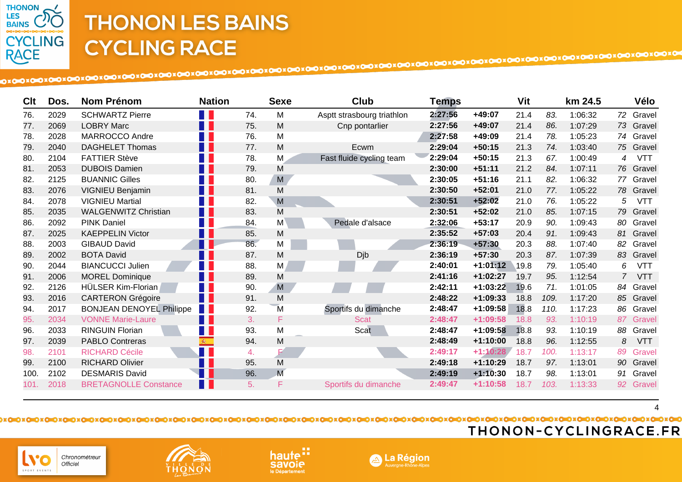

Chronométreur Officiel

.<br>CPOPT FVFNTS

| Clt  | Dos. | <b>Nom Prénom</b>               | <b>Nation</b>                           |     | <b>Sexe</b> | Club                       | Temps   |            | Vit  |      | km 24.5 |                | Vélo       |
|------|------|---------------------------------|-----------------------------------------|-----|-------------|----------------------------|---------|------------|------|------|---------|----------------|------------|
| 76.  | 2029 | <b>SCHWARTZ Pierre</b>          |                                         | 74. | M           | Asptt strasbourg triathlon | 2:27:56 | $+49:07$   | 21.4 | 83.  | 1:06:32 | 72             | Gravel     |
| 77.  | 2069 | <b>LOBRY Marc</b>               | M.                                      | 75. | M           | Cnp pontarlier             | 2:27:56 | $+49:07$   | 21.4 | 86.  | 1:07:29 |                | 73 Gravel  |
| 78.  | 2028 | MARROCCO Andre                  | T I                                     | 76. | M           |                            | 2:27:58 | +49:09     | 21.4 | 78.  | 1:05:23 |                | 74 Gravel  |
| 79.  | 2040 | <b>DAGHELET Thomas</b>          | <b>TER</b>                              | 77. | M           | Ecwm                       | 2:29:04 | $+50:15$   | 21.3 | 74.  | 1:03:40 |                | 75 Gravel  |
| 80.  | 2104 | <b>FATTIER Stève</b>            | T I                                     | 78. | M           | Fast fluide cycling team   | 2:29:04 | $+50:15$   | 21.3 | 67.  | 1:00:49 | 4              | <b>VTT</b> |
| 81.  | 2053 | <b>DUBOIS Damien</b>            | n i                                     | 79. | M           |                            | 2:30:00 | $+51:11$   | 21.2 | 84.  | 1:07:11 |                | 76 Gravel  |
| 82.  | 2125 | <b>BUANNIC Gilles</b>           |                                         | 80. | M           |                            | 2:30:05 | $+51:16$   | 21.1 | 82.  | 1:06:32 |                | 77 Gravel  |
| 83.  | 2076 | <b>VIGNIEU Benjamin</b>         | n I                                     | 81. | M           |                            | 2:30:50 | $+52:01$   | 21.0 | 77.  | 1:05:22 |                | 78 Gravel  |
| 84.  | 2078 | <b>VIGNIEU Martial</b>          | T.                                      | 82. | M           |                            | 2:30:51 | $+52:02$   | 21.0 | 76.  | 1:05:22 | 5              | <b>VTT</b> |
| 85.  | 2035 | <b>WALGENWITZ Christian</b>     | <b>Tara</b>                             | 83. | M           |                            | 2:30:51 | $+52:02$   | 21.0 | 85.  | 1:07:15 |                | 79 Gravel  |
| 86.  | 2092 | <b>PINK Daniel</b>              | n l                                     | 84. | M           | Pedale d'alsace            | 2:32:06 | $+53:17$   | 20.9 | 90.  | 1:09:43 | 80             | Gravel     |
| 87.  | 2025 | <b>KAEPPELIN Victor</b>         | H I                                     | 85. | M           |                            | 2:35:52 | $+57:03$   | 20.4 | 91.  | 1:09:43 | 81             | Gravel     |
| 88.  | 2003 | <b>GIBAUD David</b>             | Ш                                       | 86. | M           |                            | 2:36:19 | $+57:30$   | 20.3 | 88.  | 1:07:40 | 82             | Gravel     |
| 89.  | 2002 | <b>BOTA David</b>               | Ш                                       | 87. | M           | Djb                        | 2:36:19 | $+57:30$   | 20.3 | 87.  | 1:07:39 |                | 83 Gravel  |
| 90.  | 2044 | <b>BIANCUCCI Julien</b>         | H                                       | 88. | M           |                            | 2:40:01 | $+1:01:12$ | 19.8 | 79.  | 1:05:40 | 6              | <b>VTT</b> |
| 91.  | 2006 | <b>MOREL Dominique</b>          | H I                                     | 89. | M           |                            | 2:41:16 | $+1:02:27$ | 19.7 | 95.  | 1:12:54 | $\overline{7}$ | <b>VTT</b> |
| 92.  | 2126 | HÜLSER Kim-Florian              | F F                                     | 90. | M           |                            | 2:42:11 | $+1:03:22$ | 19.6 | 71.  | 1:01:05 | 84             | Gravel     |
| 93.  | 2016 | <b>CARTERON Grégoire</b>        | H.                                      | 91. | M           |                            | 2:48:22 | $+1:09:33$ | 18.8 | 109. | 1:17:20 |                | 85 Gravel  |
| 94.  | 2017 | <b>BONJEAN DENOYEL Philippe</b> | <b>TIME</b>                             | 92. | M           | Sportifs du dimanche       | 2:48:47 | $+1:09:58$ | 18.8 | 110. | 1:17:23 | 86             | Gravel     |
| 95.  | 2034 | <b>VONNE Marie-Laure</b>        | H II                                    | 3.  | F           | <b>Scat</b>                | 2:48:47 | $+1:09:58$ | 18.8 | 93.  | 1:10:19 | 87             | Gravel     |
| 96.  | 2033 | <b>RINGUIN Florian</b>          | H.                                      | 93. | M           | Scat                       | 2:48:47 | $+1:09:58$ | 18.8 | 93.  | 1:10:19 | 88             | Gravel     |
| 97.  | 2039 | <b>PABLO Contreras</b>          | $\mathcal{R}^{\leftarrow}_{\mathbb{C}}$ | 94. | M           |                            | 2:48:49 | $+1:10:00$ | 18.8 | 96.  | 1:12:55 | 8              | <b>VTT</b> |
| 98.  | 2101 | <b>RICHARD Cécile</b>           | Ŧ                                       | 4.  |             |                            | 2:49:17 | $+1:10:28$ | 18.7 | 100. | 1:13:17 | 89             | Gravel     |
| 99.  | 2100 | <b>RICHARD Olivier</b>          |                                         | 95. | M           |                            | 2:49:18 | $+1:10:29$ | 18.7 | 97.  | 1:13:01 | 90             | Gravel     |
| 100. | 2102 | <b>DESMARIS David</b>           |                                         | 96. | M           |                            | 2:49:19 | $+1:10:30$ | 18.7 | 98.  | 1:13:01 | 91             | Gravel     |
| 101. | 2018 | <b>BRETAGNOLLE Constance</b>    | H                                       | 5.  | F           | Sportifs du dimanche       | 2:49:47 | $+1:10:58$ | 18.7 | 103. | 1:13:33 | 92             | Gravel     |

 $\overline{\mathbf{A}}$ 

A La Région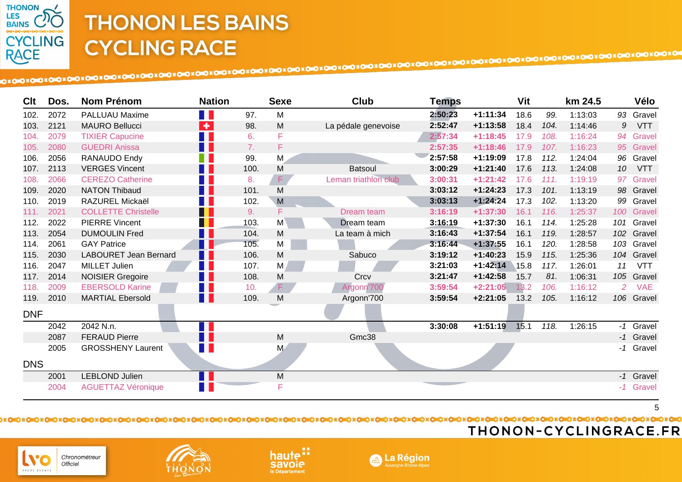

| Clt        | Dos. | Nom Prénom                   | <b>Nation</b>                    |      | <b>Sexe</b> | Club                 | <b>Temps</b> |            | Vit  |      | km 24.5 |                 | Vélo       |
|------------|------|------------------------------|----------------------------------|------|-------------|----------------------|--------------|------------|------|------|---------|-----------------|------------|
| 102.       | 2072 | <b>PALLUAU Maxime</b>        | a pr                             | 97.  | M           |                      | 2:50:23      | $+1:11:34$ | 18.6 | 99.  | 1:13:03 |                 | 93 Gravel  |
| 103.       | 2121 | <b>MAURO Bellucci</b>        | $\left\langle \Phi\right\rangle$ | 98.  | M           | La pédale genevoise  | 2:52:47      | $+1:13:58$ | 18.4 | 104. | 1:14:46 | 9               | <b>VTT</b> |
| 104.       | 2079 | <b>TIXIER Capucine</b>       | T F                              | 6.   | F           |                      | 2:57:34      | $+1:18:45$ | 17.9 | 108. | 1:16:24 |                 | 94 Gravel  |
| 105.       | 2080 | <b>GUEDRI Anissa</b>         | H.                               | 7.   | F           |                      | 2:57:35      | $+1:18:46$ | 17.9 | 107. | 1:16:23 |                 | 95 Gravel  |
| 106.       | 2056 | RANAUDO Endy                 |                                  | 99.  | M           |                      | 2:57:58      | $+1:19:09$ | 17.8 | 112. | 1:24:04 |                 | 96 Gravel  |
| 107.       | 2113 | <b>VERGES Vincent</b>        | F F                              | 100. | M           | <b>Batsoul</b>       | 3:00:29      | $+1:21:40$ | 17.6 | 113. | 1:24:08 | 10 <sup>°</sup> | <b>VTT</b> |
| 108.       | 2066 | <b>CEREZO Catherine</b>      |                                  | 8.   | F           | Leman triathlon club | 3:00:31      | $+1:21:42$ | 17.6 | 111. | 1:19:19 |                 | 97 Gravel  |
| 109.       | 2020 | <b>NATON Thibaud</b>         | F F                              | 101. | M           |                      | 3:03:12      | $+1:24:23$ | 17.3 | 101. | 1:13:19 |                 | 98 Gravel  |
| 110.       | 2019 | RAZUREL Mickaël              | 11                               | 102. | M           |                      | 3:03:13      | $+1:24:24$ | 17.3 | 102. | 1:13:20 |                 | 99 Gravel  |
| 111.       | 2021 | <b>COLLETTE Christelle</b>   | H I                              | 9.   | F           | Dream team           | 3:16:19      | $+1:37:30$ | 16.1 | 116. | 1:25:37 |                 | 100 Gravel |
| 112.       | 2022 | <b>PIERRE Vincent</b>        | H                                | 103. | M           | Dream team           | 3:16:19      | $+1:37:30$ | 16.1 | 114. | 1:25:28 |                 | 101 Gravel |
| 113.       | 2054 | <b>DUMOULIN Fred</b>         | M.                               | 104. | M           | La team à mich       | 3:16:43      | $+1:37:54$ | 16.1 | 119. | 1:28:57 |                 | 102 Gravel |
| 114.       | 2061 | <b>GAY Patrice</b>           | $\blacksquare$                   | 105. | M           |                      | 3:16:44      | $+1:37:55$ | 16.1 | 120. | 1:28:58 |                 | 103 Gravel |
| 115.       | 2030 | <b>LABOURET Jean Bernard</b> | H.                               | 106. | M           | Sabuco               | 3:19:12      | $+1:40:23$ | 15.9 | 115. | 1:25:36 |                 | 104 Gravel |
| 116.       | 2047 | <b>MILLET Julien</b>         | H.                               | 107. | M           |                      | 3:21:03      | $+1:42:14$ | 15.8 | 117. | 1:26:01 | 11              | <b>VTT</b> |
| 117.       | 2014 | <b>NOISIER Gregoire</b>      | H H                              | 108. | M           | Crcv                 | 3:21:47      | $+1:42:58$ | 15.7 | 81.  | 1:06:31 |                 | 105 Gravel |
| 118.       | 2009 | <b>EBERSOLD Karine</b>       | H.                               | 10.  | $\mathsf F$ | Argonn'700           | 3:59:54      | $+2:21:05$ | 13.2 | 106. | 1:16:12 | 2 <sup>7</sup>  | <b>VAE</b> |
| 119.       | 2010 | <b>MARTIAL Ebersold</b>      | N H                              | 109. | M           | Argonn'700           | 3:59:54      | $+2:21:05$ | 13.2 | 105. | 1:16:12 |                 | 106 Gravel |
| <b>DNF</b> |      |                              |                                  |      |             |                      |              |            |      |      |         |                 |            |
|            | 2042 | 2042 N.n.                    |                                  |      |             |                      | 3:30:08      | $+1:51:19$ | 15.1 | 118. | 1:26:15 |                 | -1 Gravel  |
|            | 2087 | <b>FERAUD Pierre</b>         | H                                |      | M           | Gmc38                |              |            |      |      |         |                 | -1 Gravel  |
|            | 2005 | <b>GROSSHENY Laurent</b>     | H H                              |      | M           |                      |              |            |      |      |         |                 | -1 Gravel  |
| <b>DNS</b> |      |                              |                                  |      |             |                      |              |            |      |      |         |                 |            |
|            | 2001 | LEBLOND Julien               | N FI                             |      | ${\sf M}$   |                      |              |            |      |      |         |                 | -1 Gravel  |
|            | 2004 | <b>AGUETTAZ Véronique</b>    | H.                               |      | F           |                      |              |            |      |      |         |                 | -1 Gravel  |

5